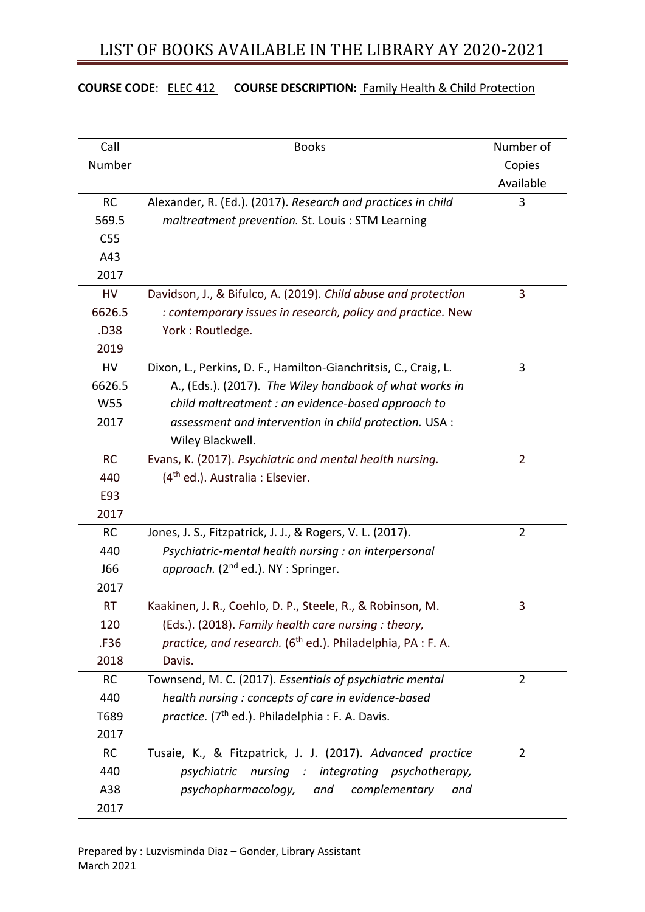# LIST OF BOOKS AVAILABLE IN THE LIBRARY AY 2020-2021

### **COURSE CODE**: ELEC 412 **COURSE DESCRIPTION:** Family Health & Child Protection

| Call            | <b>Books</b>                                                            | Number of      |
|-----------------|-------------------------------------------------------------------------|----------------|
| Number          |                                                                         | Copies         |
|                 |                                                                         | Available      |
| <b>RC</b>       | Alexander, R. (Ed.). (2017). Research and practices in child            | 3              |
| 569.5           | maltreatment prevention. St. Louis: STM Learning                        |                |
| C <sub>55</sub> |                                                                         |                |
| A43             |                                                                         |                |
| 2017            |                                                                         |                |
| <b>HV</b>       | Davidson, J., & Bifulco, A. (2019). Child abuse and protection          | 3              |
| 6626.5          | : contemporary issues in research, policy and practice. New             |                |
| .D38            | York: Routledge.                                                        |                |
| 2019            |                                                                         |                |
| HV              | Dixon, L., Perkins, D. F., Hamilton-Gianchritsis, C., Craig, L.         | 3              |
| 6626.5          | A., (Eds.). (2017). The Wiley handbook of what works in                 |                |
| W55             | child maltreatment : an evidence-based approach to                      |                |
| 2017            | assessment and intervention in child protection. USA :                  |                |
|                 | Wiley Blackwell.                                                        |                |
| <b>RC</b>       | Evans, K. (2017). Psychiatric and mental health nursing.                | $\overline{2}$ |
| 440             | $(4th$ ed.). Australia : Elsevier.                                      |                |
| E93             |                                                                         |                |
| 2017            |                                                                         |                |
| <b>RC</b>       | Jones, J. S., Fitzpatrick, J. J., & Rogers, V. L. (2017).               | $\overline{2}$ |
| 440             | Psychiatric-mental health nursing : an interpersonal                    |                |
| <b>J66</b>      | approach. (2 <sup>nd</sup> ed.). NY : Springer.                         |                |
| 2017            |                                                                         |                |
| <b>RT</b>       | Kaakinen, J. R., Coehlo, D. P., Steele, R., & Robinson, M.              | 3              |
| 120             | (Eds.). (2018). Family health care nursing : theory,                    |                |
| .F36            | practice, and research. (6 <sup>th</sup> ed.). Philadelphia, PA : F. A. |                |
| 2018            | Davis.                                                                  |                |
| <b>RC</b>       | Townsend, M. C. (2017). Essentials of psychiatric mental                | $\overline{2}$ |
| 440             | health nursing: concepts of care in evidence-based                      |                |
| T689            | practice. (7 <sup>th</sup> ed.). Philadelphia : F. A. Davis.            |                |
| 2017            |                                                                         |                |
| <b>RC</b>       | Tusaie, K., & Fitzpatrick, J. J. (2017). Advanced practice              | $\overline{2}$ |
| 440             | psychiatric<br>nursing : integrating psychotherapy,                     |                |
| A38             | psychopharmacology,<br>and<br>complementary<br>and                      |                |
| 2017            |                                                                         |                |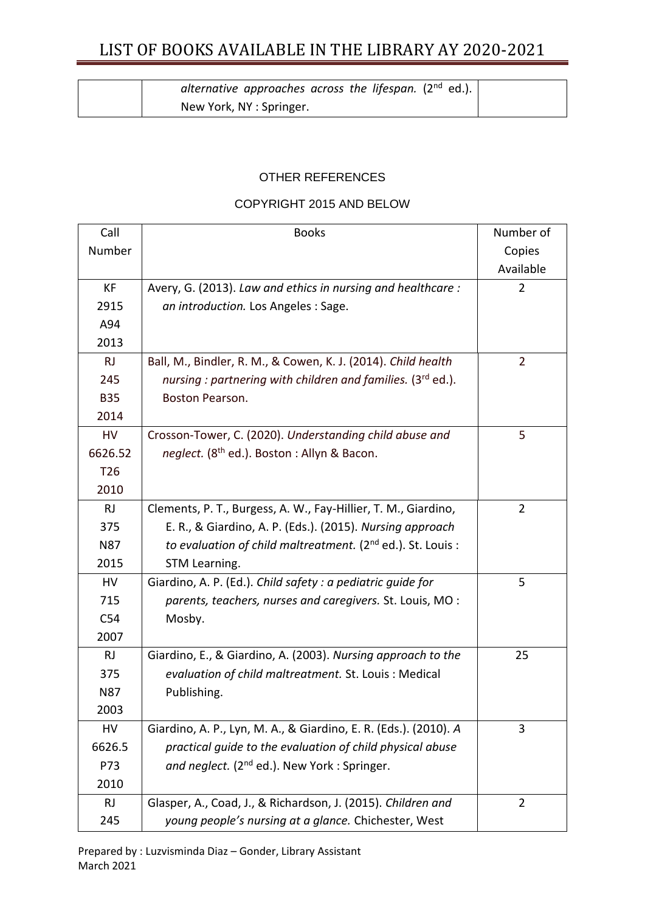# LIST OF BOOKS AVAILABLE IN THE LIBRARY AY 2020-2021

| alternative approaches across the lifespan. (2 <sup>nd</sup> ed.). |  |
|--------------------------------------------------------------------|--|
| New York, NY: Springer.                                            |  |

### OTHER REFERENCES

#### COPYRIGHT 2015 AND BELOW

| Call            | <b>Books</b>                                                     | Number of      |
|-----------------|------------------------------------------------------------------|----------------|
| Number          |                                                                  | Copies         |
|                 |                                                                  | Available      |
| <b>KF</b>       | Avery, G. (2013). Law and ethics in nursing and healthcare:      | 2              |
| 2915            | an introduction. Los Angeles : Sage.                             |                |
| A94             |                                                                  |                |
| 2013            |                                                                  |                |
| <b>RJ</b>       | Ball, M., Bindler, R. M., & Cowen, K. J. (2014). Child health    | $\overline{2}$ |
| 245             | nursing: partnering with children and families. (3rd ed.).       |                |
| <b>B35</b>      | Boston Pearson.                                                  |                |
| 2014            |                                                                  |                |
| <b>HV</b>       | Crosson-Tower, C. (2020). Understanding child abuse and          | 5              |
| 6626.52         | neglect. (8 <sup>th</sup> ed.). Boston: Allyn & Bacon.           |                |
| T <sub>26</sub> |                                                                  |                |
| 2010            |                                                                  |                |
| <b>RJ</b>       | Clements, P. T., Burgess, A. W., Fay-Hillier, T. M., Giardino,   | $\overline{2}$ |
| 375             | E. R., & Giardino, A. P. (Eds.). (2015). Nursing approach        |                |
| <b>N87</b>      | to evaluation of child maltreatment. ( $2nd$ ed.). St. Louis :   |                |
| 2015            | STM Learning.                                                    |                |
| HV              | Giardino, A. P. (Ed.). Child safety : a pediatric guide for      | 5              |
| 715             | parents, teachers, nurses and caregivers. St. Louis, MO :        |                |
| C54             | Mosby.                                                           |                |
| 2007            |                                                                  |                |
| <b>RJ</b>       | Giardino, E., & Giardino, A. (2003). Nursing approach to the     | 25             |
| 375             | evaluation of child maltreatment. St. Louis: Medical             |                |
| N87             | Publishing.                                                      |                |
| 2003            |                                                                  |                |
| HV              | Giardino, A. P., Lyn, M. A., & Giardino, E. R. (Eds.). (2010). A | 3              |
| 6626.5          | practical quide to the evaluation of child physical abuse        |                |
| P73             | and neglect. (2 <sup>nd</sup> ed.). New York: Springer.          |                |
| 2010            |                                                                  |                |
| <b>RJ</b>       | Glasper, A., Coad, J., & Richardson, J. (2015). Children and     | $\overline{2}$ |
| 245             | young people's nursing at a glance. Chichester, West             |                |